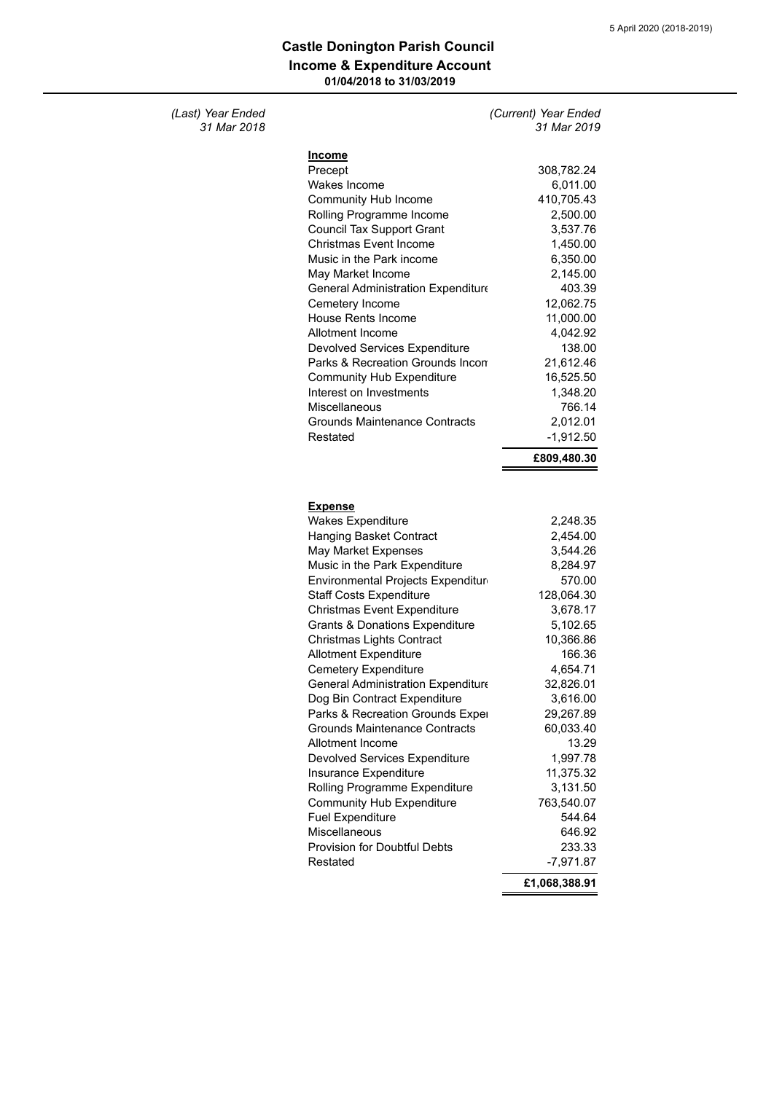## **Income & Expenditure Account 01/04/2018 to 31/03/2019 Castle Donington Parish Council**

## *(Last) Year Ended (Current) Year Ended 31 Mar 2018 31 Mar 2019*

| <b>Income</b>                                                                                                            |             |
|--------------------------------------------------------------------------------------------------------------------------|-------------|
| Precept                                                                                                                  | 308,782.24  |
| Wakes Income                                                                                                             | 6,011.00    |
| Community Hub Income                                                                                                     | 410,705.43  |
| Rolling Programme Income                                                                                                 | 2,500.00    |
| <b>Council Tax Support Grant</b>                                                                                         | 3,537.76    |
| <b>Christmas Event Income</b>                                                                                            | 1,450.00    |
| Music in the Park income                                                                                                 | 6,350.00    |
| May Market Income                                                                                                        | 2,145.00    |
| General Administration Expenditure                                                                                       | 403.39      |
| Cemetery Income                                                                                                          | 12,062.75   |
| <b>House Rents Income</b>                                                                                                | 11,000.00   |
| Allotment Income                                                                                                         | 4,042.92    |
| Devolved Services Expenditure                                                                                            | 138.00      |
| Parks & Recreation Grounds Incom                                                                                         | 21,612.46   |
| <b>Community Hub Expenditure</b>                                                                                         | 16,525.50   |
| Interest on Investments                                                                                                  | 1,348.20    |
| Miscellaneous                                                                                                            | 766.14      |
| Grounds Maintenance Contracts                                                                                            | 2,012.01    |
| Restated                                                                                                                 | $-1,912.50$ |
|                                                                                                                          | £809,480.30 |
|                                                                                                                          |             |
|                                                                                                                          |             |
|                                                                                                                          |             |
| <u>Expense</u>                                                                                                           |             |
|                                                                                                                          |             |
| <b>Wakes Expenditure</b>                                                                                                 | 2,248.35    |
| <b>Hanging Basket Contract</b>                                                                                           | 2,454.00    |
| May Market Expenses                                                                                                      | 3,544.26    |
| Music in the Park Expenditure                                                                                            | 8,284.97    |
| Environmental Projects Expenditur                                                                                        | 570.00      |
| <b>Staff Costs Expenditure</b>                                                                                           | 128,064.30  |
| Christmas Event Expenditure                                                                                              | 3,678.17    |
|                                                                                                                          | 5,102.65    |
| <b>Grants &amp; Donations Expenditure</b><br>Christmas Lights Contract                                                   | 10,366.86   |
| <b>Allotment Expenditure</b>                                                                                             | 166.36      |
| Cemetery Expenditure                                                                                                     | 4,654.71    |
| General Administration Expenditure                                                                                       | 32,826.01   |
| Dog Bin Contract Expenditure                                                                                             | 3,616.00    |
| Parks & Recreation Grounds Exper                                                                                         | 29,267.89   |
|                                                                                                                          | 60,033.40   |
| <b>Grounds Maintenance Contracts</b><br>Allotment Income                                                                 | 13.29       |
| Devolved Services Expenditure                                                                                            | 1,997.78    |
| Insurance Expenditure                                                                                                    | 11,375.32   |
| Rolling Programme Expenditure                                                                                            | 3,131.50    |
|                                                                                                                          | 763,540.07  |
|                                                                                                                          | 544.64      |
|                                                                                                                          | 646.92      |
|                                                                                                                          | 233.33      |
| Community Hub Expenditure<br><b>Fuel Expenditure</b><br>Miscellaneous<br><b>Provision for Doubtful Debts</b><br>Restated | $-7,971.87$ |

**£1,068,388.91**